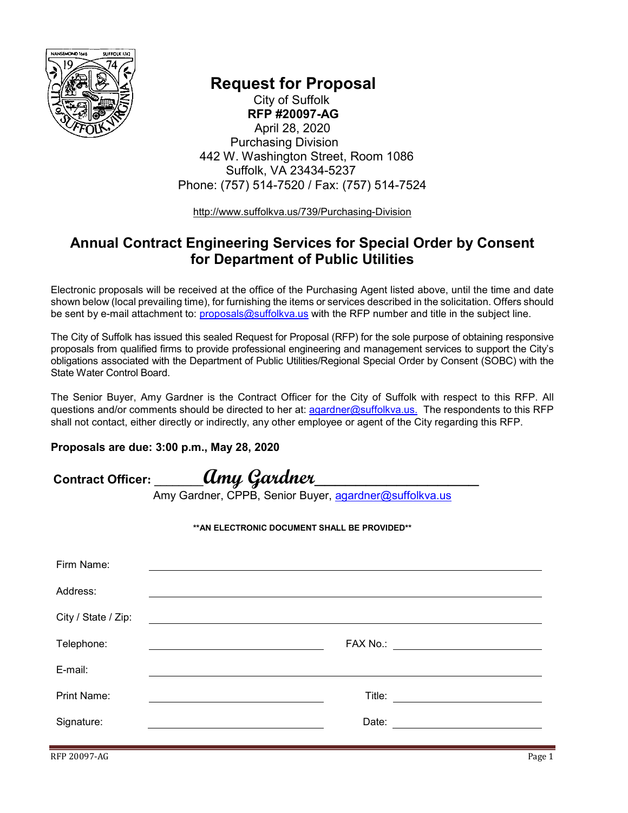

 **Request for Proposal** City of Suffolk  **RFP #20097-AG** April 28, 2020 Purchasing Division 442 W. Washington Street, Room 1086 Suffolk, VA 23434-5237 Phone: (757) 514-7520 / Fax: (757) 514-7524

<http://www.suffolkva.us/739/Purchasing-Division>

## **Annual Contract Engineering Services for Special Order by Consent for Department of Public Utilities**

Electronic proposals will be received at the office of the Purchasing Agent listed above, until the time and date shown below (local prevailing time), for furnishing the items or services described in the solicitation. Offers should be sent by e-mail attachment to: [proposals@suffolkva.us](mailto:proposals@suffolkva.us) with the RFP number and title in the subject line.

The City of Suffolk has issued this sealed Request for Proposal (RFP) for the sole purpose of obtaining responsive proposals from qualified firms to provide professional engineering and management services to support the City's obligations associated with the Department of Public Utilities/Regional Special Order by Consent (SOBC) with the State Water Control Board.

The Senior Buyer, Amy Gardner is the Contract Officer for the City of Suffolk with respect to this RFP. All questions and/or comments should be directed to her at: [agardner@suffolkva.us.](mailto:agardner@suffolkva.us.) The respondents to this RFP shall not contact, either directly or indirectly, any other employee or agent of the City regarding this RFP.

#### **Proposals are due: 3:00 p.m., May 28, 2020**

**Contract Officer: \_\_\_\_\_\_\_\_Amy Gardner\_\_\_\_\_\_\_\_\_\_\_\_\_\_\_\_**

Amy Gardner, CPPB, Senior Buyer, [agardner@suffolkva.us](mailto:agardner@suffolkva.us)

#### **\*\*AN ELECTRONIC DOCUMENT SHALL BE PROVIDED\*\***

| Firm Name:          |        |                                                                                                                      |
|---------------------|--------|----------------------------------------------------------------------------------------------------------------------|
| Address:            |        |                                                                                                                      |
| City / State / Zip: |        |                                                                                                                      |
| Telephone:          |        | FAX No.: ________________________                                                                                    |
| E-mail:             |        |                                                                                                                      |
| <b>Print Name:</b>  | Title: | <u> 1980 - Jan Barbara Barat, prima a popular popular popular popular popular popular popular popular popular po</u> |
| Signature:          | Date:  |                                                                                                                      |
|                     |        |                                                                                                                      |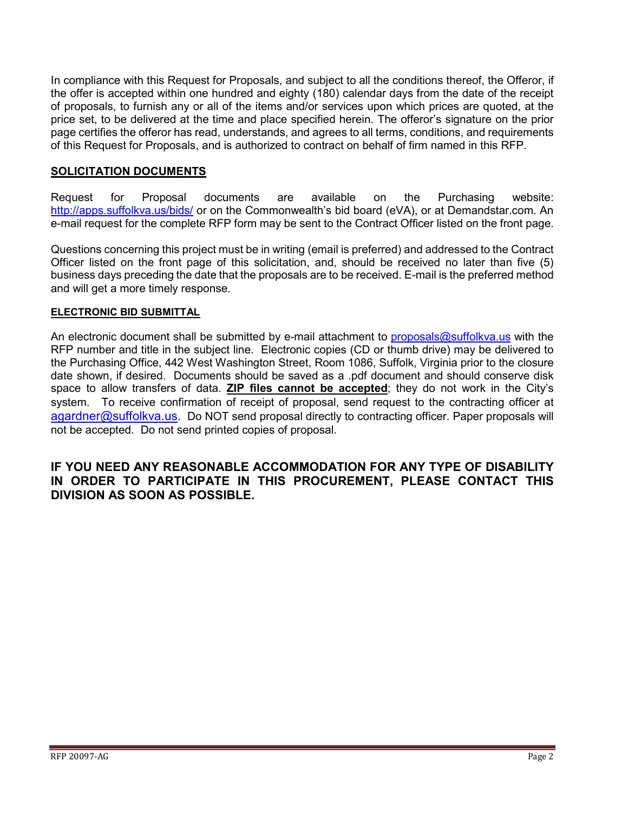In compliance with this Request for Proposals, and subject to all the conditions thereof, the Offeror, if the offer is accepted within one hundred and eighty (180) calendar days from the date of the receipt of proposals, to furnish any or all of the items and/or services upon which prices are quoted, at the price set, to be delivered at the time and place specified herein. The offeror's signature on the prior page certifies the offeror has read, understands, and agrees to all terms, conditions, and requirements of this Request for Proposals, and is authorized to contract on behalf of firm named in this RFP.

#### **SOLICITATION DOCUMENTS**

Request for Proposal documents are available on the Purchasing website: <http://apps.suffolkva.us/bids/> or on the Commonwealth's bid board (eVA), or at Demandstar.com. An e-mail request for the complete RFP form may be sent to the Contract Officer listed on the front page.

Questions concerning this project must be in writing (email is preferred) and addressed to the Contract Officer listed on the front page of this solicitation, and, should be received no later than five (5) business days preceding the date that the proposals are to be received. E-mail is the preferred method and will get a more timely response.

#### **ELECTRONIC BID SUBMITTAL**

An electronic document shall be submitted by e-mail attachment to [proposals@suffolkva.us](mailto:proposals@suffolkva.us) with the RFP number and title in the subject line. Electronic copies (CD or thumb drive) may be delivered to the Purchasing Office, 442 West Washington Street, Room 1086, Suffolk, Virginia prior to the closure date shown, if desired. Documents should be saved as a .pdf document and should conserve disk space to allow transfers of data. **ZIP files cannot be accepted**; they do not work in the City's system. To receive confirmation of receipt of proposal, send request to the contracting officer at [agardner@suffolkva.us.](mailto:agardner@suffolkva.us) Do NOT send proposal directly to contracting officer. Paper proposals will not be accepted. Do not send printed copies of proposal.

#### **IF YOU NEED ANY REASONABLE ACCOMMODATION FOR ANY TYPE OF DISABILITY IN ORDER TO PARTICIPATE IN THIS PROCUREMENT, PLEASE CONTACT THIS DIVISION AS SOON AS POSSIBLE.**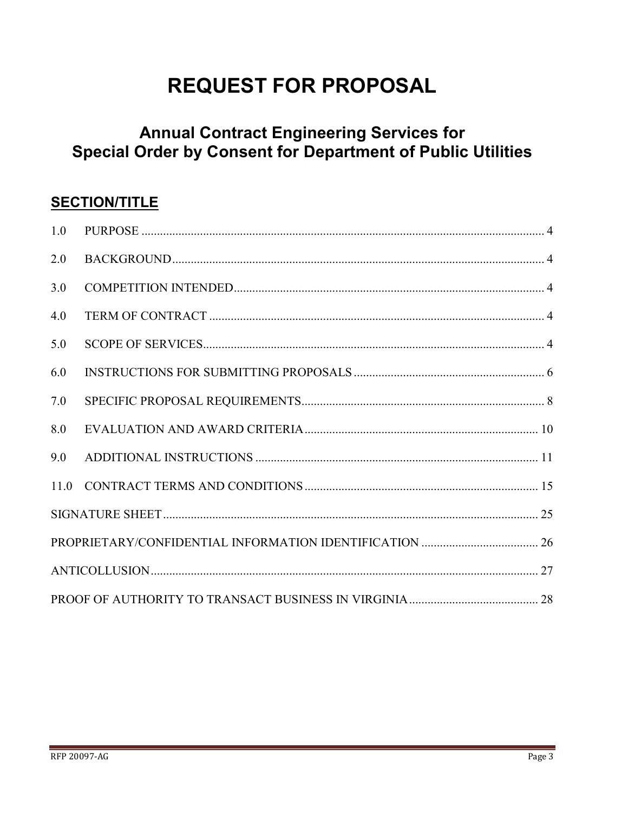# **REQUEST FOR PROPOSAL**

# **Annual Contract Engineering Services for Special Order by Consent for Department of Public Utilities**

## **SECTION/TITLE**

| 1.0 |  |  |  |
|-----|--|--|--|
| 2.0 |  |  |  |
| 3.0 |  |  |  |
| 4.0 |  |  |  |
| 5.0 |  |  |  |
| 6.0 |  |  |  |
| 7.0 |  |  |  |
| 8.0 |  |  |  |
| 9.0 |  |  |  |
|     |  |  |  |
|     |  |  |  |
|     |  |  |  |
|     |  |  |  |
|     |  |  |  |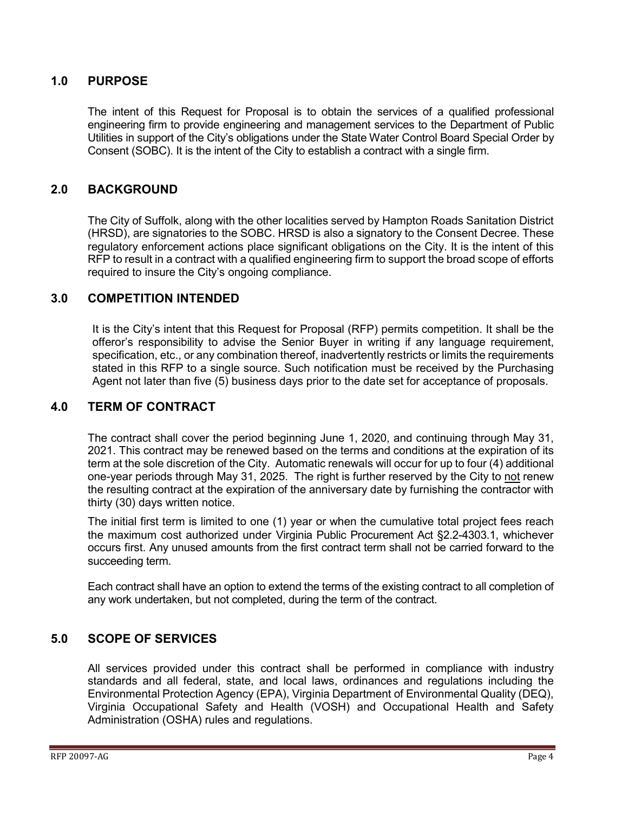#### <span id="page-3-0"></span>**1.0 PURPOSE**

The intent of this Request for Proposal is to obtain the services of a qualified professional engineering firm to provide engineering and management services to the Department of Public Utilities in support of the City's obligations under the State Water Control Board Special Order by Consent (SOBC). It is the intent of the City to establish a contract with a single firm.

#### <span id="page-3-1"></span>**2.0 BACKGROUND**

The City of Suffolk, along with the other localities served by Hampton Roads Sanitation District (HRSD), are signatories to the SOBC. HRSD is also a signatory to the Consent Decree. These regulatory enforcement actions place significant obligations on the City. It is the intent of this RFP to result in a contract with a qualified engineering firm to support the broad scope of efforts required to insure the City's ongoing compliance.

#### <span id="page-3-2"></span>**3.0 COMPETITION INTENDED**

It is the City's intent that this Request for Proposal (RFP) permits competition. It shall be the offeror's responsibility to advise the Senior Buyer in writing if any language requirement, specification, etc., or any combination thereof, inadvertently restricts or limits the requirements stated in this RFP to a single source. Such notification must be received by the Purchasing Agent not later than five (5) business days prior to the date set for acceptance of proposals.

#### <span id="page-3-3"></span>**4.0 TERM OF CONTRACT**

The contract shall cover the period beginning June 1, 2020, and continuing through May 31, 2021. This contract may be renewed based on the terms and conditions at the expiration of its term at the sole discretion of the City. Automatic renewals will occur for up to four (4) additional one-year periods through May 31, 2025. The right is further reserved by the City to not renew the resulting contract at the expiration of the anniversary date by furnishing the contractor with thirty (30) days written notice.

The initial first term is limited to one (1) year or when the cumulative total project fees reach the maximum cost authorized under Virginia Public Procurement Act §2.2-4303.1, whichever occurs first. Any unused amounts from the first contract term shall not be carried forward to the succeeding term.

Each contract shall have an option to extend the terms of the existing contract to all completion of any work undertaken, but not completed, during the term of the contract.

#### <span id="page-3-4"></span>**5.0 SCOPE OF SERVICES**

All services provided under this contract shall be performed in compliance with industry standards and all federal, state, and local laws, ordinances and regulations including the Environmental Protection Agency (EPA), Virginia Department of Environmental Quality (DEQ), Virginia Occupational Safety and Health (VOSH) and Occupational Health and Safety Administration (OSHA) rules and regulations.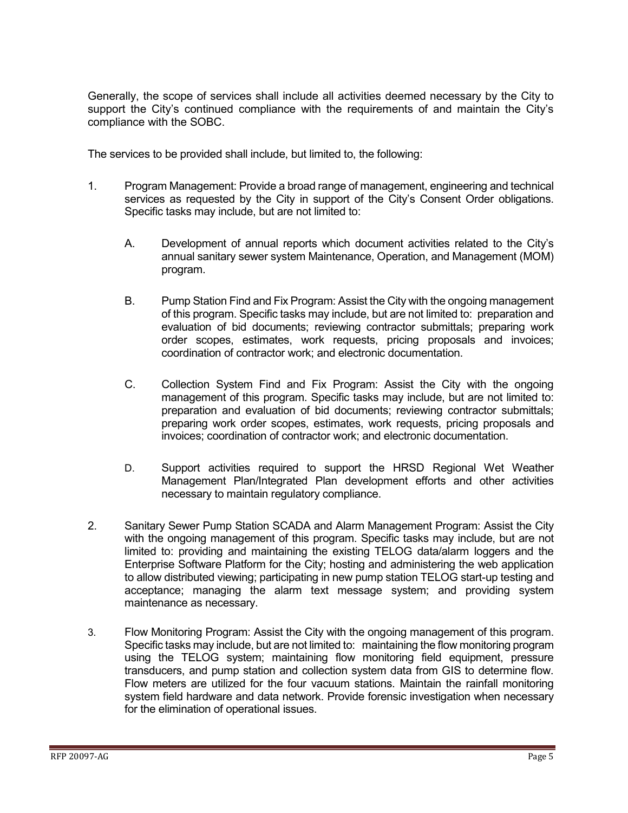Generally, the scope of services shall include all activities deemed necessary by the City to support the City's continued compliance with the requirements of and maintain the City's compliance with the SOBC.

The services to be provided shall include, but limited to, the following:

- 1. Program Management: Provide a broad range of management, engineering and technical services as requested by the City in support of the City's Consent Order obligations. Specific tasks may include, but are not limited to:
	- A. Development of annual reports which document activities related to the City's annual sanitary sewer system Maintenance, Operation, and Management (MOM) program.
	- B. Pump Station Find and Fix Program: Assist the City with the ongoing management of this program. Specific tasks may include, but are not limited to: preparation and evaluation of bid documents; reviewing contractor submittals; preparing work order scopes, estimates, work requests, pricing proposals and invoices; coordination of contractor work; and electronic documentation.
	- C. Collection System Find and Fix Program: Assist the City with the ongoing management of this program. Specific tasks may include, but are not limited to: preparation and evaluation of bid documents; reviewing contractor submittals; preparing work order scopes, estimates, work requests, pricing proposals and invoices; coordination of contractor work; and electronic documentation.
	- D. Support activities required to support the HRSD Regional Wet Weather Management Plan/Integrated Plan development efforts and other activities necessary to maintain regulatory compliance.
- 2. Sanitary Sewer Pump Station SCADA and Alarm Management Program: Assist the City with the ongoing management of this program. Specific tasks may include, but are not limited to: providing and maintaining the existing TELOG data/alarm loggers and the Enterprise Software Platform for the City; hosting and administering the web application to allow distributed viewing; participating in new pump station TELOG start-up testing and acceptance; managing the alarm text message system; and providing system maintenance as necessary.
- 3. Flow Monitoring Program: Assist the City with the ongoing management of this program. Specific tasks may include, but are not limited to: maintaining the flow monitoring program using the TELOG system; maintaining flow monitoring field equipment, pressure transducers, and pump station and collection system data from GIS to determine flow. Flow meters are utilized for the four vacuum stations. Maintain the rainfall monitoring system field hardware and data network. Provide forensic investigation when necessary for the elimination of operational issues.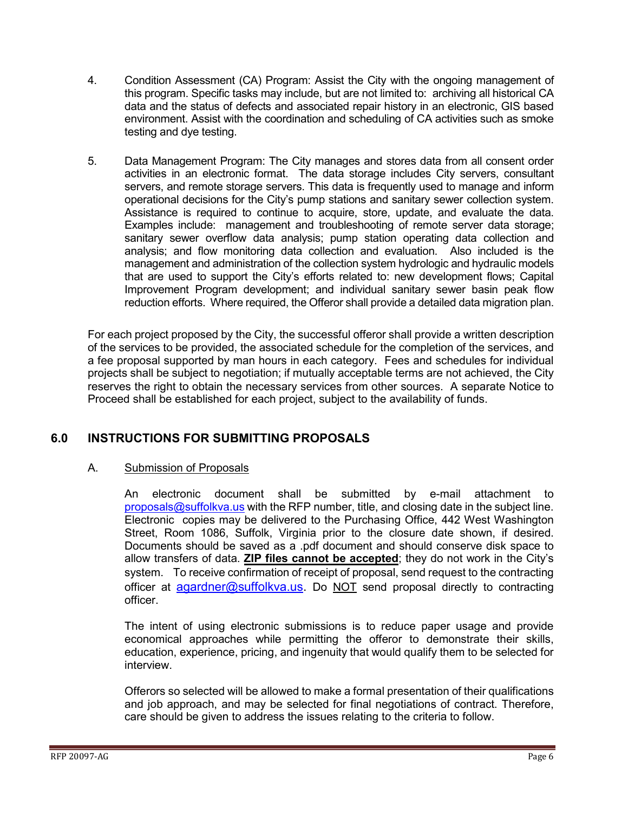- 4. Condition Assessment (CA) Program: Assist the City with the ongoing management of this program. Specific tasks may include, but are not limited to: archiving all historical CA data and the status of defects and associated repair history in an electronic, GIS based environment. Assist with the coordination and scheduling of CA activities such as smoke testing and dye testing.
- 5. Data Management Program: The City manages and stores data from all consent order activities in an electronic format. The data storage includes City servers, consultant servers, and remote storage servers. This data is frequently used to manage and inform operational decisions for the City's pump stations and sanitary sewer collection system. Assistance is required to continue to acquire, store, update, and evaluate the data. Examples include: management and troubleshooting of remote server data storage; sanitary sewer overflow data analysis; pump station operating data collection and analysis; and flow monitoring data collection and evaluation. Also included is the management and administration of the collection system hydrologic and hydraulic models that are used to support the City's efforts related to: new development flows; Capital Improvement Program development; and individual sanitary sewer basin peak flow reduction efforts. Where required, the Offeror shall provide a detailed data migration plan.

For each project proposed by the City, the successful offeror shall provide a written description of the services to be provided, the associated schedule for the completion of the services, and a fee proposal supported by man hours in each category. Fees and schedules for individual projects shall be subject to negotiation; if mutually acceptable terms are not achieved, the City reserves the right to obtain the necessary services from other sources. A separate Notice to Proceed shall be established for each project, subject to the availability of funds.

## <span id="page-5-0"></span>**6.0 INSTRUCTIONS FOR SUBMITTING PROPOSALS**

#### A. Submission of Proposals

An electronic document shall be submitted by e-mail attachment to [proposals@suffolkva.us](mailto:proposals@suffolkva.us) with the RFP number, title, and closing date in the subject line. Electronic copies may be delivered to the Purchasing Office, 442 West Washington Street, Room 1086, Suffolk, Virginia prior to the closure date shown, if desired. Documents should be saved as a .pdf document and should conserve disk space to allow transfers of data. **ZIP files cannot be accepted**; they do not work in the City's system. To receive confirmation of receipt of proposal, send request to the contracting officer at [agardner@suffolkva.us.](mailto:agardner@suffolkva.us) Do NOT send proposal directly to contracting officer.

The intent of using electronic submissions is to reduce paper usage and provide economical approaches while permitting the offeror to demonstrate their skills, education, experience, pricing, and ingenuity that would qualify them to be selected for interview.

Offerors so selected will be allowed to make a formal presentation of their qualifications and job approach, and may be selected for final negotiations of contract. Therefore, care should be given to address the issues relating to the criteria to follow.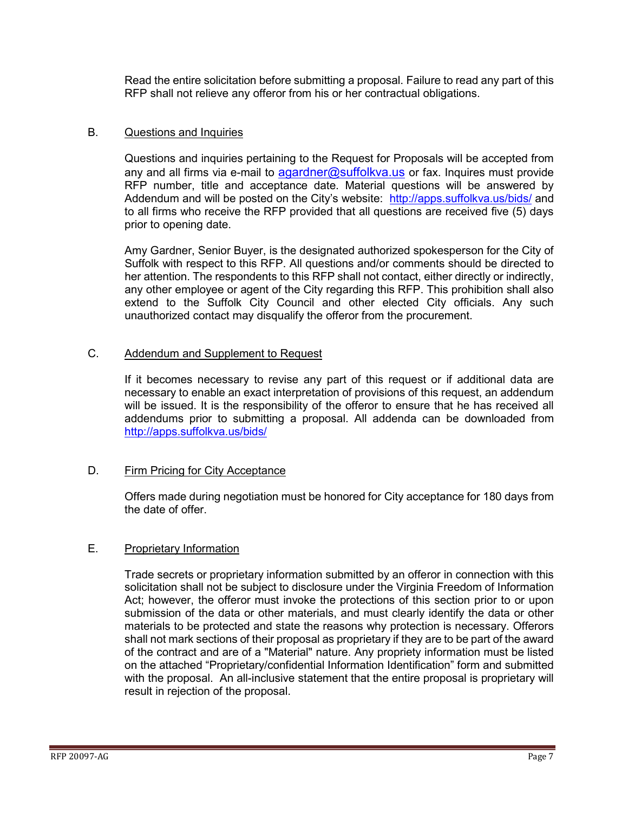Read the entire solicitation before submitting a proposal. Failure to read any part of this RFP shall not relieve any offeror from his or her contractual obligations.

#### B. Questions and Inquiries

Questions and inquiries pertaining to the Request for Proposals will be accepted from any and all firms via e-mail to  $aqardner@suffolkva.us$  or fax. Inquires must provide RFP number, title and acceptance date. Material questions will be answered by Addendum and will be posted on the City's website: <http://apps.suffolkva.us/bids/> and to all firms who receive the RFP provided that all questions are received five (5) days prior to opening date.

Amy Gardner, Senior Buyer, is the designated authorized spokesperson for the City of Suffolk with respect to this RFP. All questions and/or comments should be directed to her attention. The respondents to this RFP shall not contact, either directly or indirectly, any other employee or agent of the City regarding this RFP. This prohibition shall also extend to the Suffolk City Council and other elected City officials. Any such unauthorized contact may disqualify the offeror from the procurement.

#### C. Addendum and Supplement to Request

If it becomes necessary to revise any part of this request or if additional data are necessary to enable an exact interpretation of provisions of this request, an addendum will be issued. It is the responsibility of the offeror to ensure that he has received all addendums prior to submitting a proposal. All addenda can be downloaded from <http://apps.suffolkva.us/bids/>

#### D. Firm Pricing for City Acceptance

Offers made during negotiation must be honored for City acceptance for 180 days from the date of offer.

#### E. Proprietary Information

Trade secrets or proprietary information submitted by an offeror in connection with this solicitation shall not be subject to disclosure under the Virginia Freedom of Information Act; however, the offeror must invoke the protections of this section prior to or upon submission of the data or other materials, and must clearly identify the data or other materials to be protected and state the reasons why protection is necessary. Offerors shall not mark sections of their proposal as proprietary if they are to be part of the award of the contract and are of a "Material" nature. Any propriety information must be listed on the attached "Proprietary/confidential Information Identification" form and submitted with the proposal. An all-inclusive statement that the entire proposal is proprietary will result in rejection of the proposal.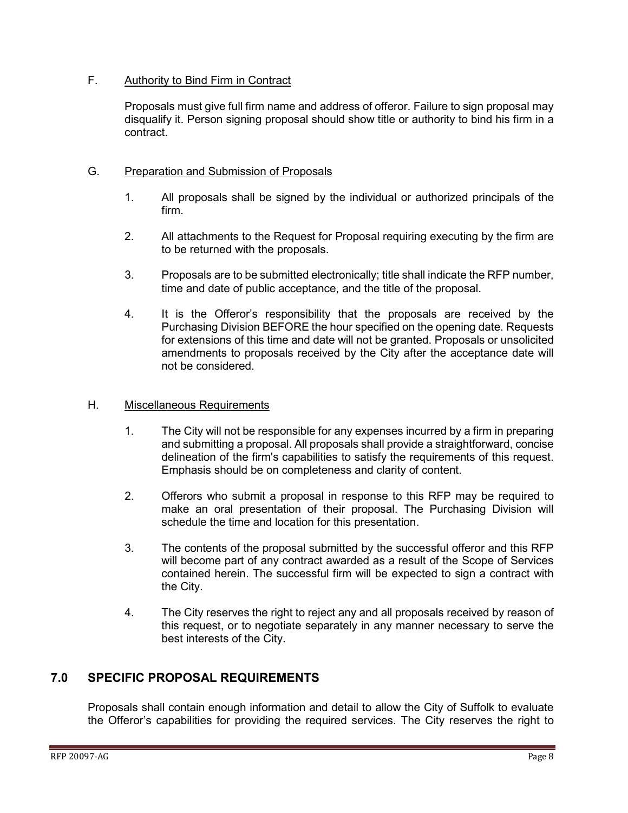#### F. Authority to Bind Firm in Contract

Proposals must give full firm name and address of offeror. Failure to sign proposal may disqualify it. Person signing proposal should show title or authority to bind his firm in a contract.

#### G. Preparation and Submission of Proposals

- 1. All proposals shall be signed by the individual or authorized principals of the firm.
- 2. All attachments to the Request for Proposal requiring executing by the firm are to be returned with the proposals.
- 3. Proposals are to be submitted electronically; title shall indicate the RFP number, time and date of public acceptance, and the title of the proposal.
- 4. It is the Offeror's responsibility that the proposals are received by the Purchasing Division BEFORE the hour specified on the opening date. Requests for extensions of this time and date will not be granted. Proposals or unsolicited amendments to proposals received by the City after the acceptance date will not be considered.

#### H. Miscellaneous Requirements

- 1. The City will not be responsible for any expenses incurred by a firm in preparing and submitting a proposal. All proposals shall provide a straightforward, concise delineation of the firm's capabilities to satisfy the requirements of this request. Emphasis should be on completeness and clarity of content.
- 2. Offerors who submit a proposal in response to this RFP may be required to make an oral presentation of their proposal. The Purchasing Division will schedule the time and location for this presentation.
- 3. The contents of the proposal submitted by the successful offeror and this RFP will become part of any contract awarded as a result of the Scope of Services contained herein. The successful firm will be expected to sign a contract with the City.
- 4. The City reserves the right to reject any and all proposals received by reason of this request, or to negotiate separately in any manner necessary to serve the best interests of the City.

## <span id="page-7-0"></span>**7.0 SPECIFIC PROPOSAL REQUIREMENTS**

Proposals shall contain enough information and detail to allow the City of Suffolk to evaluate the Offeror's capabilities for providing the required services. The City reserves the right to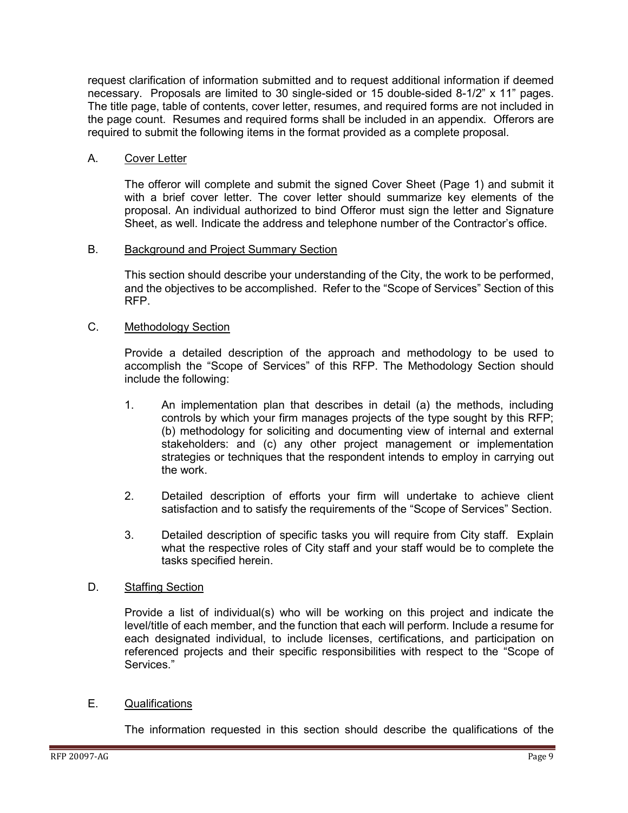request clarification of information submitted and to request additional information if deemed necessary. Proposals are limited to 30 single-sided or 15 double-sided 8-1/2" x 11" pages. The title page, table of contents, cover letter, resumes, and required forms are not included in the page count. Resumes and required forms shall be included in an appendix. Offerors are required to submit the following items in the format provided as a complete proposal.

#### A. Cover Letter

The offeror will complete and submit the signed Cover Sheet (Page 1) and submit it with a brief cover letter. The cover letter should summarize key elements of the proposal. An individual authorized to bind Offeror must sign the letter and Signature Sheet, as well. Indicate the address and telephone number of the Contractor's office.

#### B. Background and Project Summary Section

This section should describe your understanding of the City, the work to be performed, and the objectives to be accomplished. Refer to the "Scope of Services" Section of this RFP.

#### C. Methodology Section

Provide a detailed description of the approach and methodology to be used to accomplish the "Scope of Services" of this RFP. The Methodology Section should include the following:

- 1. An implementation plan that describes in detail (a) the methods, including controls by which your firm manages projects of the type sought by this RFP; (b) methodology for soliciting and documenting view of internal and external stakeholders: and (c) any other project management or implementation strategies or techniques that the respondent intends to employ in carrying out the work.
- 2. Detailed description of efforts your firm will undertake to achieve client satisfaction and to satisfy the requirements of the "Scope of Services" Section.
- 3. Detailed description of specific tasks you will require from City staff. Explain what the respective roles of City staff and your staff would be to complete the tasks specified herein.

#### D. Staffing Section

Provide a list of individual(s) who will be working on this project and indicate the level/title of each member, and the function that each will perform. Include a resume for each designated individual, to include licenses, certifications, and participation on referenced projects and their specific responsibilities with respect to the "Scope of Services."

#### E. Qualifications

The information requested in this section should describe the qualifications of the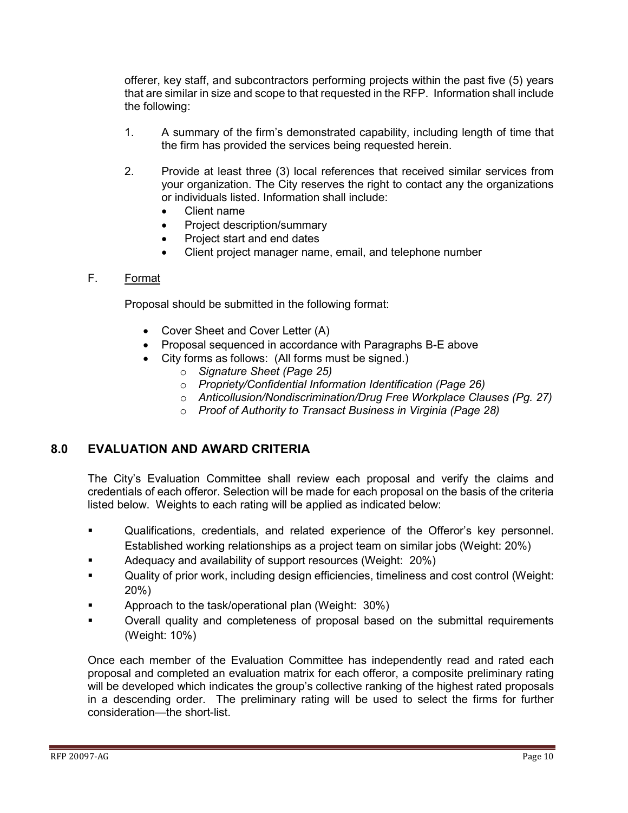offerer, key staff, and subcontractors performing projects within the past five (5) years that are similar in size and scope to that requested in the RFP. Information shall include the following:

- 1. A summary of the firm's demonstrated capability, including length of time that the firm has provided the services being requested herein.
- 2. Provide at least three (3) local references that received similar services from your organization. The City reserves the right to contact any the organizations or individuals listed. Information shall include:
	- Client name
	- Project description/summary
	- Project start and end dates
	- Client project manager name, email, and telephone number

#### F. Format

Proposal should be submitted in the following format:

- Cover Sheet and Cover Letter (A)
- Proposal sequenced in accordance with Paragraphs B-E above
- City forms as follows: (All forms must be signed.)
	- o *Signature Sheet (Page 25)*
	- o *Propriety/Confidential Information Identification (Page 26)*
	- o *Anticollusion/Nondiscrimination/Drug Free Workplace Clauses (Pg. 27)*
	- o *Proof of Authority to Transact Business in Virginia (Page 28)*

#### <span id="page-9-0"></span>**8.0 EVALUATION AND AWARD CRITERIA**

The City's Evaluation Committee shall review each proposal and verify the claims and credentials of each offeror. Selection will be made for each proposal on the basis of the criteria listed below. Weights to each rating will be applied as indicated below:

- Qualifications, credentials, and related experience of the Offeror's key personnel. Established working relationships as a project team on similar jobs (Weight: 20%)
- Adequacy and availability of support resources (Weight: 20%)
- Quality of prior work, including design efficiencies, timeliness and cost control (Weight: 20%)
- Approach to the task/operational plan (Weight: 30%)
- Overall quality and completeness of proposal based on the submittal requirements (Weight: 10%)

Once each member of the Evaluation Committee has independently read and rated each proposal and completed an evaluation matrix for each offeror, a composite preliminary rating will be developed which indicates the group's collective ranking of the highest rated proposals in a descending order. The preliminary rating will be used to select the firms for further consideration—the short-list.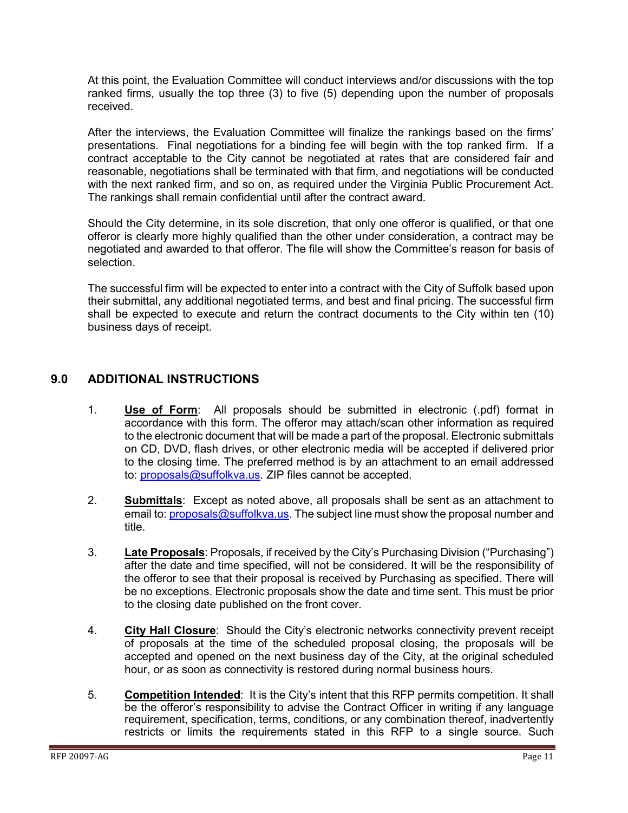At this point, the Evaluation Committee will conduct interviews and/or discussions with the top ranked firms, usually the top three (3) to five (5) depending upon the number of proposals received.

After the interviews, the Evaluation Committee will finalize the rankings based on the firms' presentations. Final negotiations for a binding fee will begin with the top ranked firm. If a contract acceptable to the City cannot be negotiated at rates that are considered fair and reasonable, negotiations shall be terminated with that firm, and negotiations will be conducted with the next ranked firm, and so on, as required under the Virginia Public Procurement Act. The rankings shall remain confidential until after the contract award.

Should the City determine, in its sole discretion, that only one offeror is qualified, or that one offeror is clearly more highly qualified than the other under consideration, a contract may be negotiated and awarded to that offeror. The file will show the Committee's reason for basis of selection.

The successful firm will be expected to enter into a contract with the City of Suffolk based upon their submittal, any additional negotiated terms, and best and final pricing. The successful firm shall be expected to execute and return the contract documents to the City within ten (10) business days of receipt.

### <span id="page-10-0"></span>**9.0 ADDITIONAL INSTRUCTIONS**

- 1. **Use of Form**: All proposals should be submitted in electronic (.pdf) format in accordance with this form. The offeror may attach/scan other information as required to the electronic document that will be made a part of the proposal. Electronic submittals on CD, DVD, flash drives, or other electronic media will be accepted if delivered prior to the closing time. The preferred method is by an attachment to an email addressed to: [proposals@suffolkva.us.](mailto:proposals@suffolkva.us) ZIP files cannot be accepted.
- 2. **Submittals**: Except as noted above, all proposals shall be sent as an attachment to email to: [proposals@suffolkva.us.](mailto:proposals@suffolkva.us) The subject line must show the proposal number and title.
- 3. **Late Proposals**: Proposals, if received by the City's Purchasing Division ("Purchasing") after the date and time specified, will not be considered. It will be the responsibility of the offeror to see that their proposal is received by Purchasing as specified. There will be no exceptions. Electronic proposals show the date and time sent. This must be prior to the closing date published on the front cover.
- 4. **City Hall Closure**: Should the City's electronic networks connectivity prevent receipt of proposals at the time of the scheduled proposal closing, the proposals will be accepted and opened on the next business day of the City, at the original scheduled hour, or as soon as connectivity is restored during normal business hours.
- 5. **Competition Intended**: It is the City's intent that this RFP permits competition. It shall be the offeror's responsibility to advise the Contract Officer in writing if any language requirement, specification, terms, conditions, or any combination thereof, inadvertently restricts or limits the requirements stated in this RFP to a single source. Such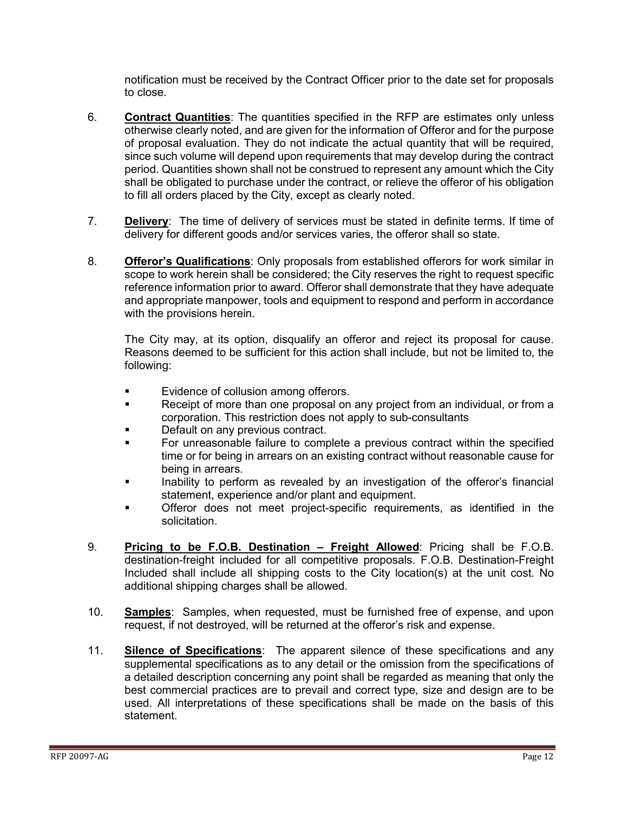notification must be received by the Contract Officer prior to the date set for proposals to close.

- 6. **Contract Quantities**: The quantities specified in the RFP are estimates only unless otherwise clearly noted, and are given for the information of Offeror and for the purpose of proposal evaluation. They do not indicate the actual quantity that will be required, since such volume will depend upon requirements that may develop during the contract period. Quantities shown shall not be construed to represent any amount which the City shall be obligated to purchase under the contract, or relieve the offeror of his obligation to fill all orders placed by the City, except as clearly noted.
- 7. **Delivery**: The time of delivery of services must be stated in definite terms. If time of delivery for different goods and/or services varies, the offeror shall so state.
- 8. **Offeror's Qualifications**: Only proposals from established offerors for work similar in scope to work herein shall be considered; the City reserves the right to request specific reference information prior to award. Offeror shall demonstrate that they have adequate and appropriate manpower, tools and equipment to respond and perform in accordance with the provisions herein.

The City may, at its option, disqualify an offeror and reject its proposal for cause. Reasons deemed to be sufficient for this action shall include, but not be limited to, the following:

- Evidence of collusion among offerors.
- **Receipt of more than one proposal on any project from an individual, or from a** corporation. This restriction does not apply to sub-consultants
- Default on any previous contract.
- For unreasonable failure to complete a previous contract within the specified time or for being in arrears on an existing contract without reasonable cause for being in arrears.
- Inability to perform as revealed by an investigation of the offeror's financial statement, experience and/or plant and equipment.
- Offeror does not meet project-specific requirements, as identified in the solicitation.
- 9. **Pricing to be F.O.B. Destination – Freight Allowed**: Pricing shall be F.O.B. destination-freight included for all competitive proposals. F.O.B. Destination-Freight Included shall include all shipping costs to the City location(s) at the unit cost. No additional shipping charges shall be allowed.
- 10. **Samples**: Samples, when requested, must be furnished free of expense, and upon request, if not destroyed, will be returned at the offeror's risk and expense.
- 11. **Silence of Specifications**: The apparent silence of these specifications and any supplemental specifications as to any detail or the omission from the specifications of a detailed description concerning any point shall be regarded as meaning that only the best commercial practices are to prevail and correct type, size and design are to be used. All interpretations of these specifications shall be made on the basis of this statement.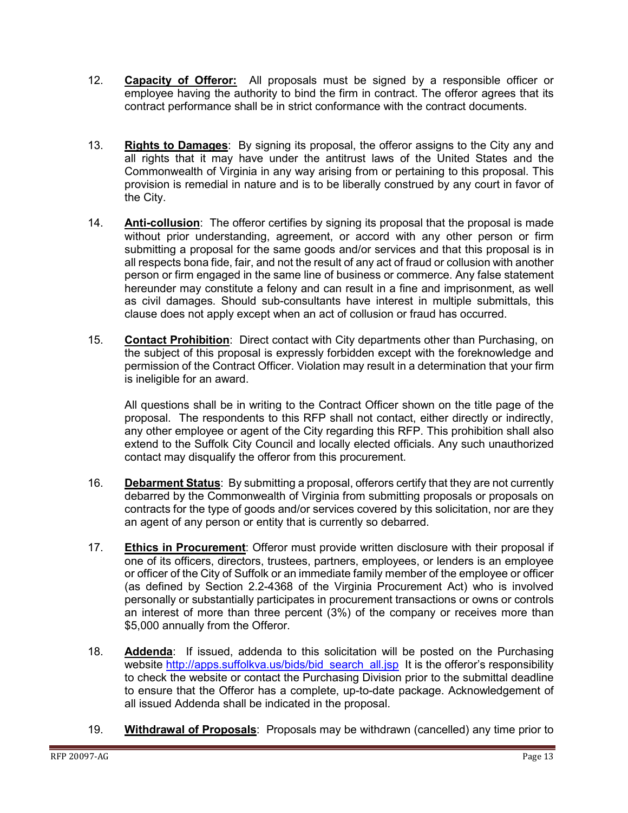- 12. **Capacity of Offeror:** All proposals must be signed by a responsible officer or employee having the authority to bind the firm in contract. The offeror agrees that its contract performance shall be in strict conformance with the contract documents.
- 13. **Rights to Damages**: By signing its proposal, the offeror assigns to the City any and all rights that it may have under the antitrust laws of the United States and the Commonwealth of Virginia in any way arising from or pertaining to this proposal. This provision is remedial in nature and is to be liberally construed by any court in favor of the City.
- 14. **Anti-collusion**: The offeror certifies by signing its proposal that the proposal is made without prior understanding, agreement, or accord with any other person or firm submitting a proposal for the same goods and/or services and that this proposal is in all respects bona fide, fair, and not the result of any act of fraud or collusion with another person or firm engaged in the same line of business or commerce. Any false statement hereunder may constitute a felony and can result in a fine and imprisonment, as well as civil damages. Should sub-consultants have interest in multiple submittals, this clause does not apply except when an act of collusion or fraud has occurred.
- 15. **Contact Prohibition**: Direct contact with City departments other than Purchasing, on the subject of this proposal is expressly forbidden except with the foreknowledge and permission of the Contract Officer. Violation may result in a determination that your firm is ineligible for an award.

All questions shall be in writing to the Contract Officer shown on the title page of the proposal. The respondents to this RFP shall not contact, either directly or indirectly, any other employee or agent of the City regarding this RFP. This prohibition shall also extend to the Suffolk City Council and locally elected officials. Any such unauthorized contact may disqualify the offeror from this procurement.

- 16. **Debarment Status**: By submitting a proposal, offerors certify that they are not currently debarred by the Commonwealth of Virginia from submitting proposals or proposals on contracts for the type of goods and/or services covered by this solicitation, nor are they an agent of any person or entity that is currently so debarred.
- 17. **Ethics in Procurement**: Offeror must provide written disclosure with their proposal if one of its officers, directors, trustees, partners, employees, or lenders is an employee or officer of the City of Suffolk or an immediate family member of the employee or officer (as defined by Section 2.2-4368 of the Virginia Procurement Act) who is involved personally or substantially participates in procurement transactions or owns or controls an interest of more than three percent (3%) of the company or receives more than \$5,000 annually from the Offeror.
- 18. **Addenda**: If issued, addenda to this solicitation will be posted on the Purchasing website [http://apps.suffolkva.us/bids/bid\\_search\\_all.jsp](http://apps.suffolkva.us/bids/bid_search_all.jsp) It is the offeror's responsibility to check the website or contact the Purchasing Division prior to the submittal deadline to ensure that the Offeror has a complete, up-to-date package. Acknowledgement of all issued Addenda shall be indicated in the proposal.
- 19. **Withdrawal of Proposals**: Proposals may be withdrawn (cancelled) any time prior to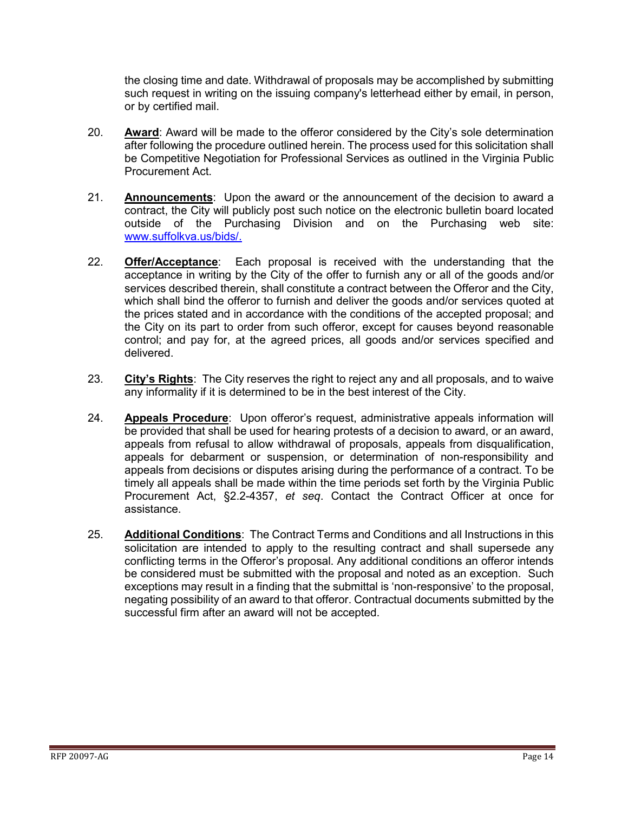the closing time and date. Withdrawal of proposals may be accomplished by submitting such request in writing on the issuing company's letterhead either by email, in person, or by certified mail.

- 20. **Award**: Award will be made to the offeror considered by the City's sole determination after following the procedure outlined herein. The process used for this solicitation shall be Competitive Negotiation for Professional Services as outlined in the Virginia Public Procurement Act.
- 21. **Announcements**: Upon the award or the announcement of the decision to award a contract, the City will publicly post such notice on the electronic bulletin board located outside of the Purchasing Division and on the Purchasing web site: [www.suffolkva.us/bids/.](http://www.suffolkva.us/bids/)
- 22. **Offer/Acceptance**: Each proposal is received with the understanding that the acceptance in writing by the City of the offer to furnish any or all of the goods and/or services described therein, shall constitute a contract between the Offeror and the City, which shall bind the offeror to furnish and deliver the goods and/or services quoted at the prices stated and in accordance with the conditions of the accepted proposal; and the City on its part to order from such offeror, except for causes beyond reasonable control; and pay for, at the agreed prices, all goods and/or services specified and delivered.
- 23. **City's Rights**: The City reserves the right to reject any and all proposals, and to waive any informality if it is determined to be in the best interest of the City.
- 24. **Appeals Procedure**: Upon offeror's request, administrative appeals information will be provided that shall be used for hearing protests of a decision to award, or an award, appeals from refusal to allow withdrawal of proposals, appeals from disqualification, appeals for debarment or suspension, or determination of non-responsibility and appeals from decisions or disputes arising during the performance of a contract. To be timely all appeals shall be made within the time periods set forth by the Virginia Public Procurement Act, §2.2-4357, *et seq*. Contact the Contract Officer at once for assistance.
- 25. **Additional Conditions**: The Contract Terms and Conditions and all Instructions in this solicitation are intended to apply to the resulting contract and shall supersede any conflicting terms in the Offeror's proposal. Any additional conditions an offeror intends be considered must be submitted with the proposal and noted as an exception. Such exceptions may result in a finding that the submittal is 'non-responsive' to the proposal, negating possibility of an award to that offeror. Contractual documents submitted by the successful firm after an award will not be accepted.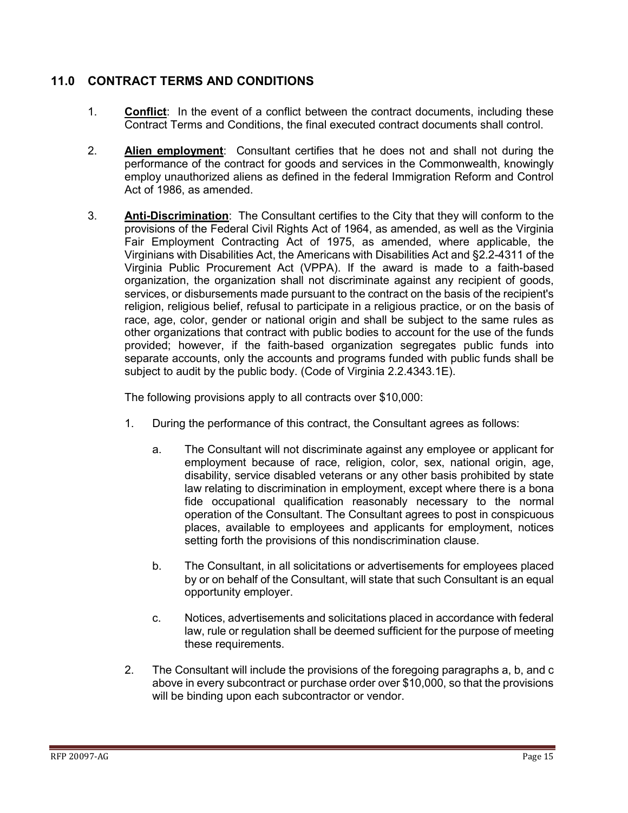### <span id="page-14-0"></span>**11.0 CONTRACT TERMS AND CONDITIONS**

- 1. **Conflict**: In the event of a conflict between the contract documents, including these Contract Terms and Conditions, the final executed contract documents shall control.
- 2. **Alien employment**: Consultant certifies that he does not and shall not during the performance of the contract for goods and services in the Commonwealth, knowingly employ unauthorized aliens as defined in the federal Immigration Reform and Control Act of 1986, as amended.
- 3. **Anti-Discrimination**: The Consultant certifies to the City that they will conform to the provisions of the Federal Civil Rights Act of 1964, as amended, as well as the Virginia Fair Employment Contracting Act of 1975, as amended, where applicable, the Virginians with Disabilities Act, the Americans with Disabilities Act and §2.2-4311 of the Virginia Public Procurement Act (VPPA). If the award is made to a faith-based organization, the organization shall not discriminate against any recipient of goods, services, or disbursements made pursuant to the contract on the basis of the recipient's religion, religious belief, refusal to participate in a religious practice, or on the basis of race, age, color, gender or national origin and shall be subject to the same rules as other organizations that contract with public bodies to account for the use of the funds provided; however, if the faith-based organization segregates public funds into separate accounts, only the accounts and programs funded with public funds shall be subject to audit by the public body. (Code of Virginia 2.2.4343.1E).

The following provisions apply to all contracts over \$10,000:

- 1. During the performance of this contract, the Consultant agrees as follows:
	- a. The Consultant will not discriminate against any employee or applicant for employment because of race, religion, color, sex, national origin, age, disability, service disabled veterans or any other basis prohibited by state law relating to discrimination in employment, except where there is a bona fide occupational qualification reasonably necessary to the normal operation of the Consultant. The Consultant agrees to post in conspicuous places, available to employees and applicants for employment, notices setting forth the provisions of this nondiscrimination clause.
	- b. The Consultant, in all solicitations or advertisements for employees placed by or on behalf of the Consultant, will state that such Consultant is an equal opportunity employer.
	- c. Notices, advertisements and solicitations placed in accordance with federal law, rule or regulation shall be deemed sufficient for the purpose of meeting these requirements.
- 2. The Consultant will include the provisions of the foregoing paragraphs a, b, and c above in every subcontract or purchase order over \$10,000, so that the provisions will be binding upon each subcontractor or vendor.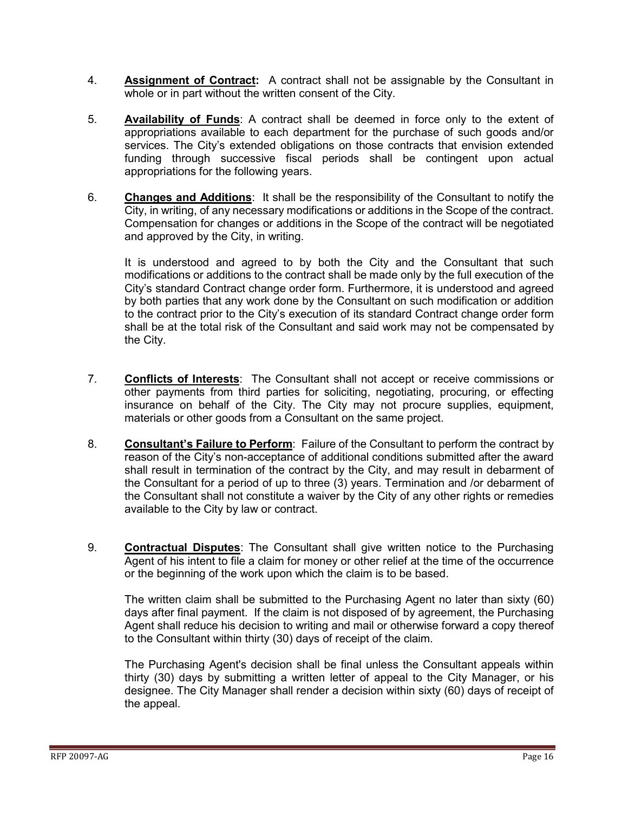- 4. **Assignment of Contract:** A contract shall not be assignable by the Consultant in whole or in part without the written consent of the City.
- 5. **Availability of Funds**: A contract shall be deemed in force only to the extent of appropriations available to each department for the purchase of such goods and/or services. The City's extended obligations on those contracts that envision extended funding through successive fiscal periods shall be contingent upon actual appropriations for the following years.
- 6. **Changes and Additions**: It shall be the responsibility of the Consultant to notify the City, in writing, of any necessary modifications or additions in the Scope of the contract. Compensation for changes or additions in the Scope of the contract will be negotiated and approved by the City, in writing.

It is understood and agreed to by both the City and the Consultant that such modifications or additions to the contract shall be made only by the full execution of the City's standard Contract change order form. Furthermore, it is understood and agreed by both parties that any work done by the Consultant on such modification or addition to the contract prior to the City's execution of its standard Contract change order form shall be at the total risk of the Consultant and said work may not be compensated by the City.

- 7. **Conflicts of Interests**: The Consultant shall not accept or receive commissions or other payments from third parties for soliciting, negotiating, procuring, or effecting insurance on behalf of the City. The City may not procure supplies, equipment, materials or other goods from a Consultant on the same project.
- 8. **Consultant's Failure to Perform**: Failure of the Consultant to perform the contract by reason of the City's non-acceptance of additional conditions submitted after the award shall result in termination of the contract by the City, and may result in debarment of the Consultant for a period of up to three (3) years. Termination and /or debarment of the Consultant shall not constitute a waiver by the City of any other rights or remedies available to the City by law or contract.
- 9. **Contractual Disputes**: The Consultant shall give written notice to the Purchasing Agent of his intent to file a claim for money or other relief at the time of the occurrence or the beginning of the work upon which the claim is to be based.

The written claim shall be submitted to the Purchasing Agent no later than sixty (60) days after final payment. If the claim is not disposed of by agreement, the Purchasing Agent shall reduce his decision to writing and mail or otherwise forward a copy thereof to the Consultant within thirty (30) days of receipt of the claim.

The Purchasing Agent's decision shall be final unless the Consultant appeals within thirty (30) days by submitting a written letter of appeal to the City Manager, or his designee. The City Manager shall render a decision within sixty (60) days of receipt of the appeal.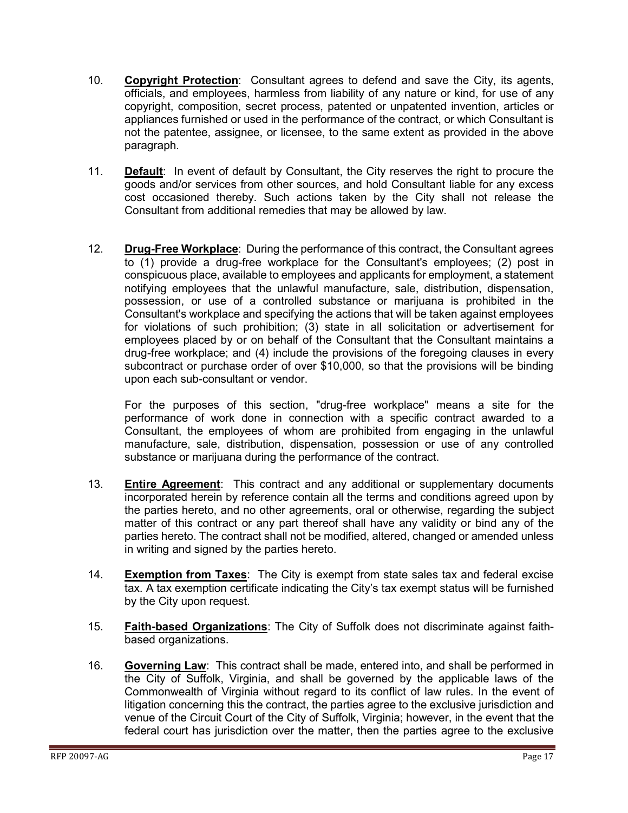- 10. **Copyright Protection**: Consultant agrees to defend and save the City, its agents, officials, and employees, harmless from liability of any nature or kind, for use of any copyright, composition, secret process, patented or unpatented invention, articles or appliances furnished or used in the performance of the contract, or which Consultant is not the patentee, assignee, or licensee, to the same extent as provided in the above paragraph.
- 11. **Default**: In event of default by Consultant, the City reserves the right to procure the goods and/or services from other sources, and hold Consultant liable for any excess cost occasioned thereby. Such actions taken by the City shall not release the Consultant from additional remedies that may be allowed by law.
- 12. **Drug-Free Workplace**: During the performance of this contract, the Consultant agrees to (1) provide a drug-free workplace for the Consultant's employees; (2) post in conspicuous place, available to employees and applicants for employment, a statement notifying employees that the unlawful manufacture, sale, distribution, dispensation, possession, or use of a controlled substance or marijuana is prohibited in the Consultant's workplace and specifying the actions that will be taken against employees for violations of such prohibition; (3) state in all solicitation or advertisement for employees placed by or on behalf of the Consultant that the Consultant maintains a drug-free workplace; and (4) include the provisions of the foregoing clauses in every subcontract or purchase order of over \$10,000, so that the provisions will be binding upon each sub-consultant or vendor.

For the purposes of this section, "drug-free workplace" means a site for the performance of work done in connection with a specific contract awarded to a Consultant, the employees of whom are prohibited from engaging in the unlawful manufacture, sale, distribution, dispensation, possession or use of any controlled substance or marijuana during the performance of the contract.

- 13. **Entire Agreement**: This contract and any additional or supplementary documents incorporated herein by reference contain all the terms and conditions agreed upon by the parties hereto, and no other agreements, oral or otherwise, regarding the subject matter of this contract or any part thereof shall have any validity or bind any of the parties hereto. The contract shall not be modified, altered, changed or amended unless in writing and signed by the parties hereto.
- 14. **Exemption from Taxes**: The City is exempt from state sales tax and federal excise tax. A tax exemption certificate indicating the City's tax exempt status will be furnished by the City upon request.
- 15. **Faith-based Organizations**: The City of Suffolk does not discriminate against faithbased organizations.
- 16. **Governing Law**: This contract shall be made, entered into, and shall be performed in the City of Suffolk, Virginia, and shall be governed by the applicable laws of the Commonwealth of Virginia without regard to its conflict of law rules. In the event of litigation concerning this the contract, the parties agree to the exclusive jurisdiction and venue of the Circuit Court of the City of Suffolk, Virginia; however, in the event that the federal court has jurisdiction over the matter, then the parties agree to the exclusive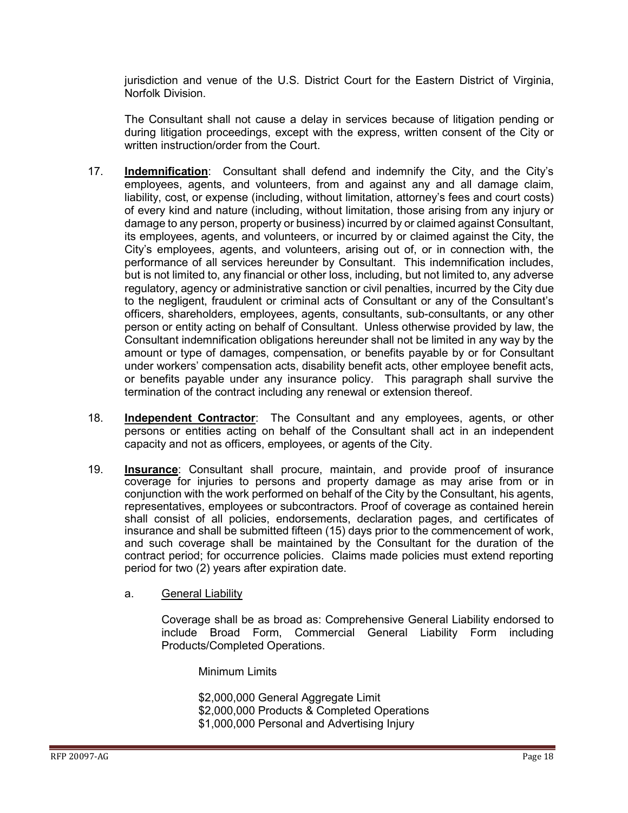jurisdiction and venue of the U.S. District Court for the Eastern District of Virginia, Norfolk Division.

The Consultant shall not cause a delay in services because of litigation pending or during litigation proceedings, except with the express, written consent of the City or written instruction/order from the Court.

- 17. **Indemnification**: Consultant shall defend and indemnify the City, and the City's employees, agents, and volunteers, from and against any and all damage claim, liability, cost, or expense (including, without limitation, attorney's fees and court costs) of every kind and nature (including, without limitation, those arising from any injury or damage to any person, property or business) incurred by or claimed against Consultant, its employees, agents, and volunteers, or incurred by or claimed against the City, the City's employees, agents, and volunteers, arising out of, or in connection with, the performance of all services hereunder by Consultant. This indemnification includes, but is not limited to, any financial or other loss, including, but not limited to, any adverse regulatory, agency or administrative sanction or civil penalties, incurred by the City due to the negligent, fraudulent or criminal acts of Consultant or any of the Consultant's officers, shareholders, employees, agents, consultants, sub-consultants, or any other person or entity acting on behalf of Consultant. Unless otherwise provided by law, the Consultant indemnification obligations hereunder shall not be limited in any way by the amount or type of damages, compensation, or benefits payable by or for Consultant under workers' compensation acts, disability benefit acts, other employee benefit acts, or benefits payable under any insurance policy. This paragraph shall survive the termination of the contract including any renewal or extension thereof.
- 18. **Independent Contractor**: The Consultant and any employees, agents, or other persons or entities acting on behalf of the Consultant shall act in an independent capacity and not as officers, employees, or agents of the City.
- 19. **Insurance**: Consultant shall procure, maintain, and provide proof of insurance coverage for injuries to persons and property damage as may arise from or in conjunction with the work performed on behalf of the City by the Consultant, his agents, representatives, employees or subcontractors. Proof of coverage as contained herein shall consist of all policies, endorsements, declaration pages, and certificates of insurance and shall be submitted fifteen (15) days prior to the commencement of work, and such coverage shall be maintained by the Consultant for the duration of the contract period; for occurrence policies. Claims made policies must extend reporting period for two (2) years after expiration date.

#### a. General Liability

Coverage shall be as broad as: Comprehensive General Liability endorsed to include Broad Form, Commercial General Liability Form including Products/Completed Operations.

Minimum Limits

\$2,000,000 General Aggregate Limit \$2,000,000 Products & Completed Operations \$1,000,000 Personal and Advertising Injury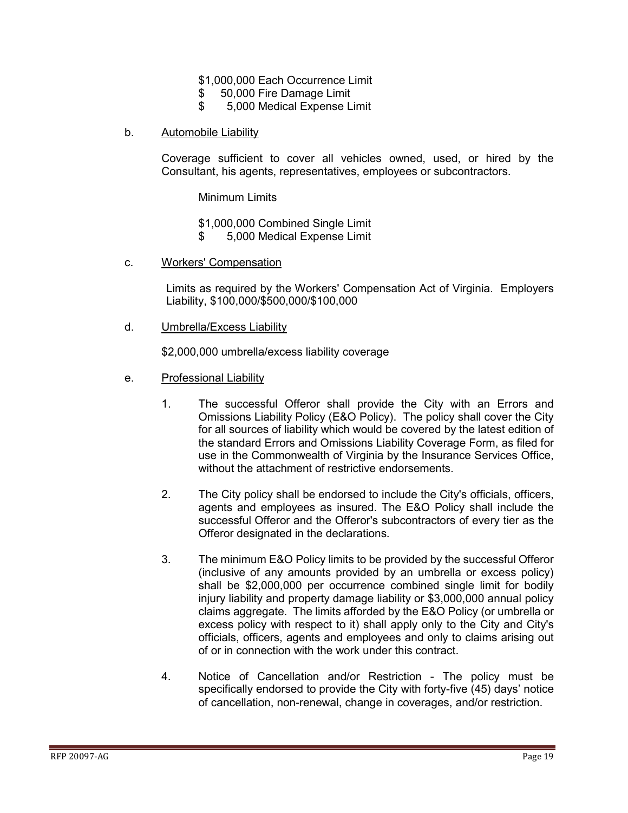- \$1,000,000 Each Occurrence Limit
- \$ 50,000 Fire Damage Limit
- \$ 5,000 Medical Expense Limit
- b. Automobile Liability

Coverage sufficient to cover all vehicles owned, used, or hired by the Consultant, his agents, representatives, employees or subcontractors.

Minimum Limits

\$1,000,000 Combined Single Limit

- \$ 5,000 Medical Expense Limit
- c. Workers' Compensation

Limits as required by the Workers' Compensation Act of Virginia. Employers Liability, \$100,000/\$500,000/\$100,000

d. Umbrella/Excess Liability

\$2,000,000 umbrella/excess liability coverage

- e. Professional Liability
	- 1. The successful Offeror shall provide the City with an Errors and Omissions Liability Policy (E&O Policy). The policy shall cover the City for all sources of liability which would be covered by the latest edition of the standard Errors and Omissions Liability Coverage Form, as filed for use in the Commonwealth of Virginia by the Insurance Services Office, without the attachment of restrictive endorsements.
	- 2. The City policy shall be endorsed to include the City's officials, officers, agents and employees as insured. The E&O Policy shall include the successful Offeror and the Offeror's subcontractors of every tier as the Offeror designated in the declarations.
	- 3. The minimum E&O Policy limits to be provided by the successful Offeror (inclusive of any amounts provided by an umbrella or excess policy) shall be \$2,000,000 per occurrence combined single limit for bodily injury liability and property damage liability or \$3,000,000 annual policy claims aggregate. The limits afforded by the E&O Policy (or umbrella or excess policy with respect to it) shall apply only to the City and City's officials, officers, agents and employees and only to claims arising out of or in connection with the work under this contract.
	- 4. Notice of Cancellation and/or Restriction The policy must be specifically endorsed to provide the City with forty-five (45) days' notice of cancellation, non-renewal, change in coverages, and/or restriction.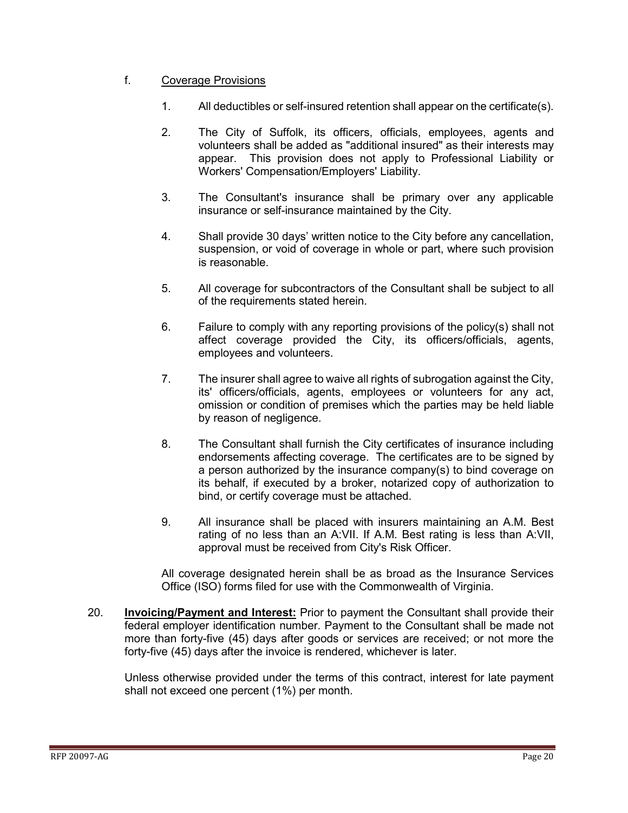#### f. Coverage Provisions

- 1. All deductibles or self-insured retention shall appear on the certificate(s).
- 2. The City of Suffolk, its officers, officials, employees, agents and volunteers shall be added as "additional insured" as their interests may appear. This provision does not apply to Professional Liability or Workers' Compensation/Employers' Liability.
- 3. The Consultant's insurance shall be primary over any applicable insurance or self-insurance maintained by the City.
- 4. Shall provide 30 days' written notice to the City before any cancellation, suspension, or void of coverage in whole or part, where such provision is reasonable.
- 5. All coverage for subcontractors of the Consultant shall be subject to all of the requirements stated herein.
- 6. Failure to comply with any reporting provisions of the policy(s) shall not affect coverage provided the City, its officers/officials, agents, employees and volunteers.
- 7. The insurer shall agree to waive all rights of subrogation against the City, its' officers/officials, agents, employees or volunteers for any act, omission or condition of premises which the parties may be held liable by reason of negligence.
- 8. The Consultant shall furnish the City certificates of insurance including endorsements affecting coverage. The certificates are to be signed by a person authorized by the insurance company(s) to bind coverage on its behalf, if executed by a broker, notarized copy of authorization to bind, or certify coverage must be attached.
- 9. All insurance shall be placed with insurers maintaining an A.M. Best rating of no less than an A:VII. If A.M. Best rating is less than A:VII, approval must be received from City's Risk Officer.

All coverage designated herein shall be as broad as the Insurance Services Office (ISO) forms filed for use with the Commonwealth of Virginia.

20. **Invoicing/Payment and Interest:** Prior to payment the Consultant shall provide their federal employer identification number. Payment to the Consultant shall be made not more than forty-five (45) days after goods or services are received; or not more the forty-five (45) days after the invoice is rendered, whichever is later.

Unless otherwise provided under the terms of this contract, interest for late payment shall not exceed one percent (1%) per month.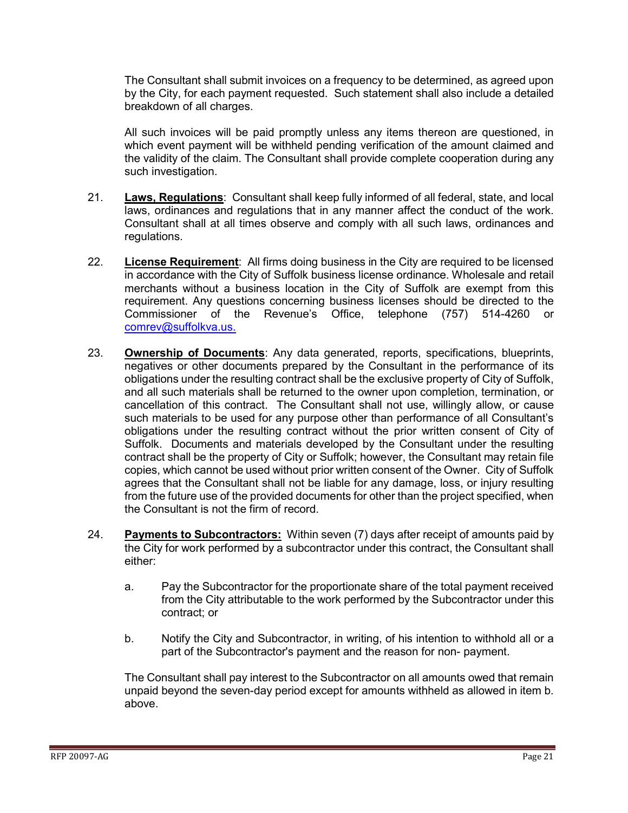The Consultant shall submit invoices on a frequency to be determined, as agreed upon by the City, for each payment requested. Such statement shall also include a detailed breakdown of all charges.

All such invoices will be paid promptly unless any items thereon are questioned, in which event payment will be withheld pending verification of the amount claimed and the validity of the claim. The Consultant shall provide complete cooperation during any such investigation.

- 21. **Laws, Regulations**: Consultant shall keep fully informed of all federal, state, and local laws, ordinances and regulations that in any manner affect the conduct of the work. Consultant shall at all times observe and comply with all such laws, ordinances and regulations.
- 22. **License Requirement**: All firms doing business in the City are required to be licensed in accordance with the City of Suffolk business license ordinance. Wholesale and retail merchants without a business location in the City of Suffolk are exempt from this requirement. Any questions concerning business licenses should be directed to the Commissioner of the Revenue's Office, telephone (757) 514-4260 or [comrev@suffolkva.us.](mailto:comrev@suffolkva.us)
- 23. **Ownership of Documents**: Any data generated, reports, specifications, blueprints, negatives or other documents prepared by the Consultant in the performance of its obligations under the resulting contract shall be the exclusive property of City of Suffolk, and all such materials shall be returned to the owner upon completion, termination, or cancellation of this contract. The Consultant shall not use, willingly allow, or cause such materials to be used for any purpose other than performance of all Consultant's obligations under the resulting contract without the prior written consent of City of Suffolk. Documents and materials developed by the Consultant under the resulting contract shall be the property of City or Suffolk; however, the Consultant may retain file copies, which cannot be used without prior written consent of the Owner. City of Suffolk agrees that the Consultant shall not be liable for any damage, loss, or injury resulting from the future use of the provided documents for other than the project specified, when the Consultant is not the firm of record.
- 24. **Payments to Subcontractors:** Within seven (7) days after receipt of amounts paid by the City for work performed by a subcontractor under this contract, the Consultant shall either:
	- a. Pay the Subcontractor for the proportionate share of the total payment received from the City attributable to the work performed by the Subcontractor under this contract; or
	- b. Notify the City and Subcontractor, in writing, of his intention to withhold all or a part of the Subcontractor's payment and the reason for non- payment.

The Consultant shall pay interest to the Subcontractor on all amounts owed that remain unpaid beyond the seven-day period except for amounts withheld as allowed in item b. above.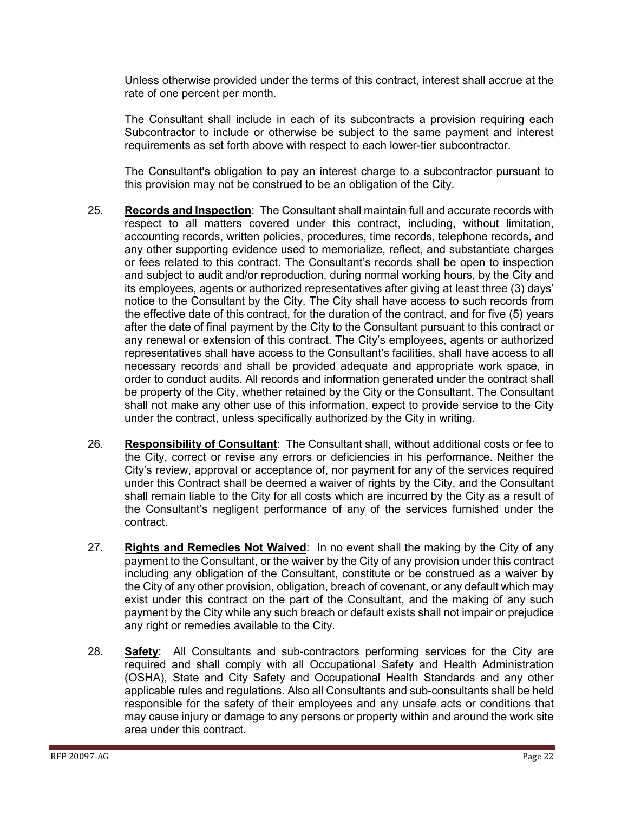Unless otherwise provided under the terms of this contract, interest shall accrue at the rate of one percent per month.

The Consultant shall include in each of its subcontracts a provision requiring each Subcontractor to include or otherwise be subject to the same payment and interest requirements as set forth above with respect to each lower-tier subcontractor.

The Consultant's obligation to pay an interest charge to a subcontractor pursuant to this provision may not be construed to be an obligation of the City.

- 25. **Records and Inspection**: The Consultant shall maintain full and accurate records with respect to all matters covered under this contract, including, without limitation, accounting records, written policies, procedures, time records, telephone records, and any other supporting evidence used to memorialize, reflect, and substantiate charges or fees related to this contract. The Consultant's records shall be open to inspection and subject to audit and/or reproduction, during normal working hours, by the City and its employees, agents or authorized representatives after giving at least three (3) days' notice to the Consultant by the City. The City shall have access to such records from the effective date of this contract, for the duration of the contract, and for five (5) years after the date of final payment by the City to the Consultant pursuant to this contract or any renewal or extension of this contract. The City's employees, agents or authorized representatives shall have access to the Consultant's facilities, shall have access to all necessary records and shall be provided adequate and appropriate work space, in order to conduct audits. All records and information generated under the contract shall be property of the City, whether retained by the City or the Consultant. The Consultant shall not make any other use of this information, expect to provide service to the City under the contract, unless specifically authorized by the City in writing.
- 26. **Responsibility of Consultant**: The Consultant shall, without additional costs or fee to the City, correct or revise any errors or deficiencies in his performance. Neither the City's review, approval or acceptance of, nor payment for any of the services required under this Contract shall be deemed a waiver of rights by the City, and the Consultant shall remain liable to the City for all costs which are incurred by the City as a result of the Consultant's negligent performance of any of the services furnished under the contract.
- 27. **Rights and Remedies Not Waived**: In no event shall the making by the City of any payment to the Consultant, or the waiver by the City of any provision under this contract including any obligation of the Consultant, constitute or be construed as a waiver by the City of any other provision, obligation, breach of covenant, or any default which may exist under this contract on the part of the Consultant, and the making of any such payment by the City while any such breach or default exists shall not impair or prejudice any right or remedies available to the City.
- 28. **Safety**: All Consultants and sub-contractors performing services for the City are required and shall comply with all Occupational Safety and Health Administration (OSHA), State and City Safety and Occupational Health Standards and any other applicable rules and regulations. Also all Consultants and sub-consultants shall be held responsible for the safety of their employees and any unsafe acts or conditions that may cause injury or damage to any persons or property within and around the work site area under this contract.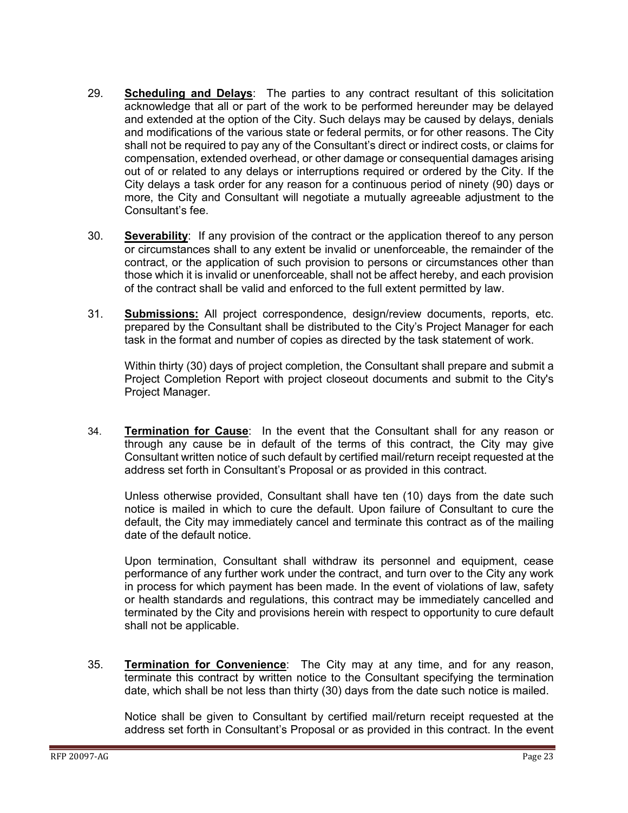- 29. **Scheduling and Delays**: The parties to any contract resultant of this solicitation acknowledge that all or part of the work to be performed hereunder may be delayed and extended at the option of the City. Such delays may be caused by delays, denials and modifications of the various state or federal permits, or for other reasons. The City shall not be required to pay any of the Consultant's direct or indirect costs, or claims for compensation, extended overhead, or other damage or consequential damages arising out of or related to any delays or interruptions required or ordered by the City. If the City delays a task order for any reason for a continuous period of ninety (90) days or more, the City and Consultant will negotiate a mutually agreeable adjustment to the Consultant's fee.
- 30. **Severability**: If any provision of the contract or the application thereof to any person or circumstances shall to any extent be invalid or unenforceable, the remainder of the contract, or the application of such provision to persons or circumstances other than those which it is invalid or unenforceable, shall not be affect hereby, and each provision of the contract shall be valid and enforced to the full extent permitted by law.
- 31. **Submissions:** All project correspondence, design/review documents, reports, etc. prepared by the Consultant shall be distributed to the City's Project Manager for each task in the format and number of copies as directed by the task statement of work.

Within thirty (30) days of project completion, the Consultant shall prepare and submit a Project Completion Report with project closeout documents and submit to the City's Project Manager.

34. **Termination for Cause**: In the event that the Consultant shall for any reason or through any cause be in default of the terms of this contract, the City may give Consultant written notice of such default by certified mail/return receipt requested at the address set forth in Consultant's Proposal or as provided in this contract.

Unless otherwise provided, Consultant shall have ten (10) days from the date such notice is mailed in which to cure the default. Upon failure of Consultant to cure the default, the City may immediately cancel and terminate this contract as of the mailing date of the default notice.

Upon termination, Consultant shall withdraw its personnel and equipment, cease performance of any further work under the contract, and turn over to the City any work in process for which payment has been made. In the event of violations of law, safety or health standards and regulations, this contract may be immediately cancelled and terminated by the City and provisions herein with respect to opportunity to cure default shall not be applicable.

35. **Termination for Convenience**: The City may at any time, and for any reason, terminate this contract by written notice to the Consultant specifying the termination date, which shall be not less than thirty (30) days from the date such notice is mailed.

Notice shall be given to Consultant by certified mail/return receipt requested at the address set forth in Consultant's Proposal or as provided in this contract. In the event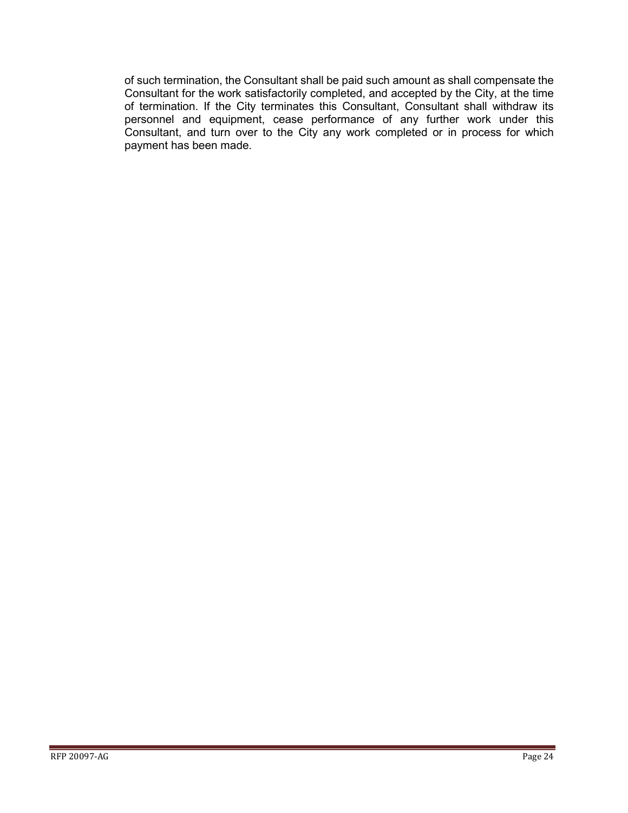of such termination, the Consultant shall be paid such amount as shall compensate the Consultant for the work satisfactorily completed, and accepted by the City, at the time of termination. If the City terminates this Consultant, Consultant shall withdraw its personnel and equipment, cease performance of any further work under this Consultant, and turn over to the City any work completed or in process for which payment has been made.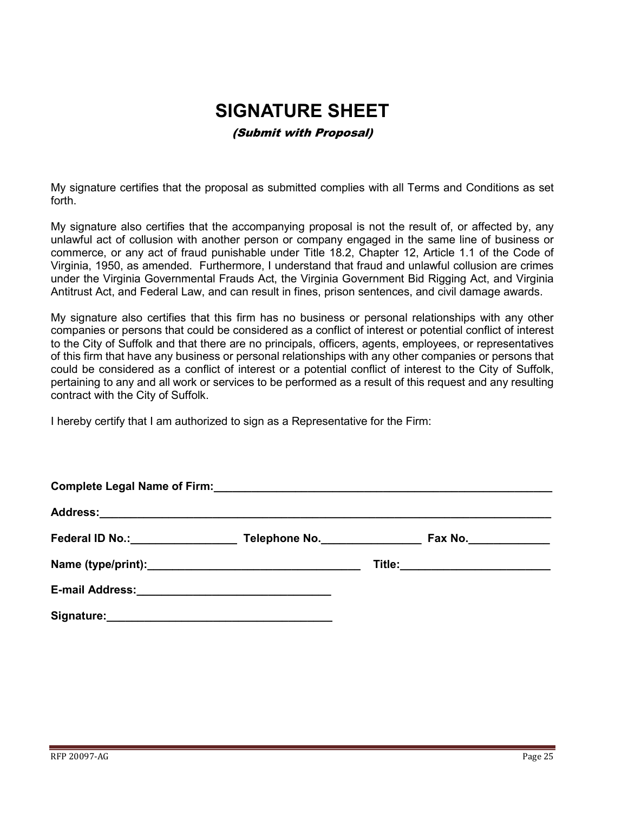# **SIGNATURE SHEET**

#### (Submit with Proposal)

<span id="page-24-0"></span>My signature certifies that the proposal as submitted complies with all Terms and Conditions as set forth.

My signature also certifies that the accompanying proposal is not the result of, or affected by, any unlawful act of collusion with another person or company engaged in the same line of business or commerce, or any act of fraud punishable under Title 18.2, Chapter 12, Article 1.1 of the Code of Virginia, 1950, as amended. Furthermore, I understand that fraud and unlawful collusion are crimes under the Virginia Governmental Frauds Act, the Virginia Government Bid Rigging Act, and Virginia Antitrust Act, and Federal Law, and can result in fines, prison sentences, and civil damage awards.

My signature also certifies that this firm has no business or personal relationships with any other companies or persons that could be considered as a conflict of interest or potential conflict of interest to the City of Suffolk and that there are no principals, officers, agents, employees, or representatives of this firm that have any business or personal relationships with any other companies or persons that could be considered as a conflict of interest or a potential conflict of interest to the City of Suffolk, pertaining to any and all work or services to be performed as a result of this request and any resulting contract with the City of Suffolk.

I hereby certify that I am authorized to sign as a Representative for the Firm:

| Federal ID No.: Management Control of Tederal ID No.: | Telephone No. | Fax No._______________          |  |  |
|-------------------------------------------------------|---------------|---------------------------------|--|--|
|                                                       |               | Title:_________________________ |  |  |
|                                                       |               |                                 |  |  |
| Signature:                                            |               |                                 |  |  |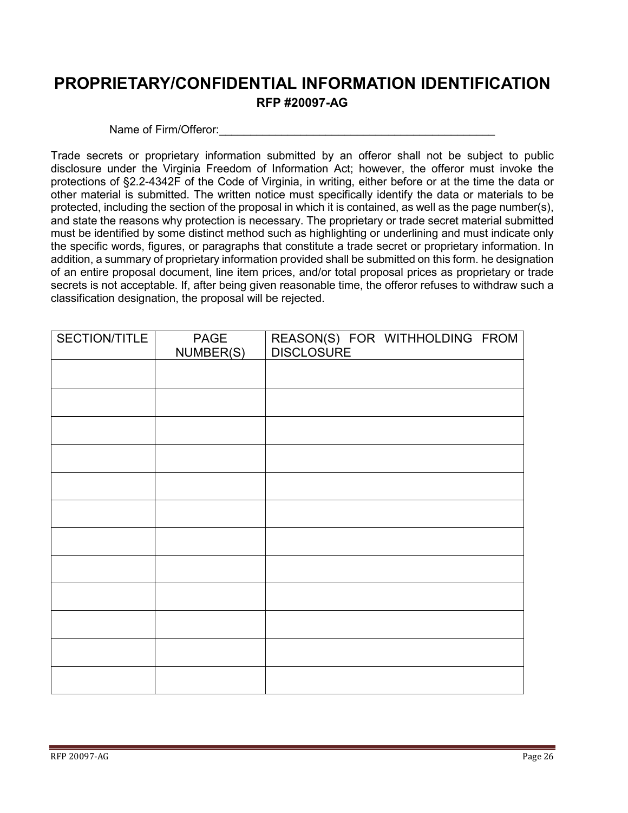## <span id="page-25-0"></span>**PROPRIETARY/CONFIDENTIAL INFORMATION IDENTIFICATION RFP #20097-AG**

#### Name of Firm/Offeror:

Trade secrets or proprietary information submitted by an offeror shall not be subject to public disclosure under the Virginia Freedom of Information Act; however, the offeror must invoke the protections of §2.2-4342F of the Code of Virginia, in writing, either before or at the time the data or other material is submitted. The written notice must specifically identify the data or materials to be protected, including the section of the proposal in which it is contained, as well as the page number(s), and state the reasons why protection is necessary. The proprietary or trade secret material submitted must be identified by some distinct method such as highlighting or underlining and must indicate only the specific words, figures, or paragraphs that constitute a trade secret or proprietary information. In addition, a summary of proprietary information provided shall be submitted on this form. he designation of an entire proposal document, line item prices, and/or total proposal prices as proprietary or trade secrets is not acceptable. If, after being given reasonable time, the offeror refuses to withdraw such a classification designation, the proposal will be rejected.

| SECTION/TITLE | PAGE<br>NUMBER(S) | REASON(S) FOR WITHHOLDING FROM<br>DISCLOSURE |
|---------------|-------------------|----------------------------------------------|
|               |                   |                                              |
|               |                   |                                              |
|               |                   |                                              |
|               |                   |                                              |
|               |                   |                                              |
|               |                   |                                              |
|               |                   |                                              |
|               |                   |                                              |
|               |                   |                                              |
|               |                   |                                              |
|               |                   |                                              |
|               |                   |                                              |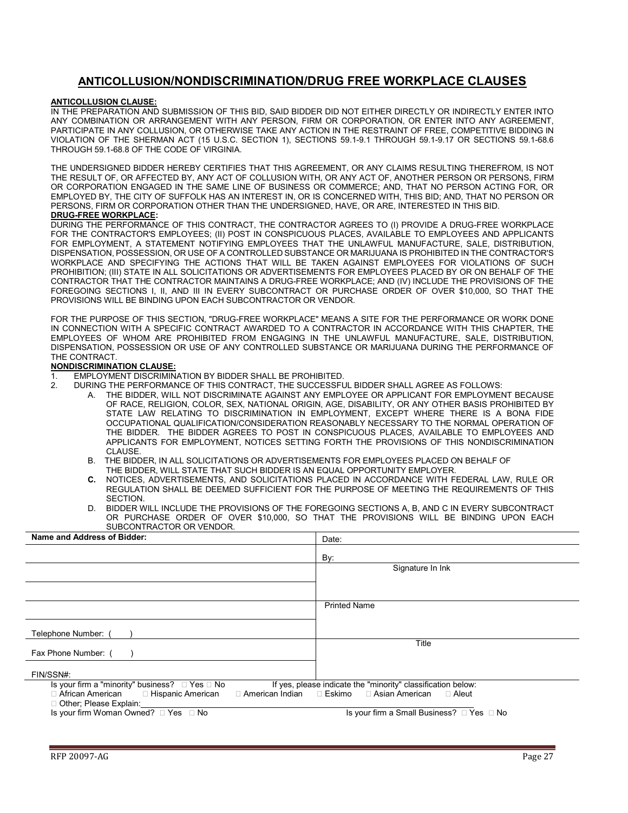#### **ANTICOLLUSION/NONDISCRIMINATION/DRUG FREE WORKPLACE CLAUSES**

#### <span id="page-26-0"></span>**ANTICOLLUSION CLAUSE:**

IN THE PREPARATION AND SUBMISSION OF THIS BID, SAID BIDDER DID NOT EITHER DIRECTLY OR INDIRECTLY ENTER INTO ANY COMBINATION OR ARRANGEMENT WITH ANY PERSON, FIRM OR CORPORATION, OR ENTER INTO ANY AGREEMENT, PARTICIPATE IN ANY COLLUSION, OR OTHERWISE TAKE ANY ACTION IN THE RESTRAINT OF FREE, COMPETITIVE BIDDING IN VIOLATION OF THE SHERMAN ACT (15 U.S.C. SECTION 1), SECTIONS 59.1-9.1 THROUGH 59.1-9.17 OR SECTIONS 59.1-68.6 THROUGH 59.1-68.8 OF THE CODE OF VIRGINIA.

THE UNDERSIGNED BIDDER HEREBY CERTIFIES THAT THIS AGREEMENT, OR ANY CLAIMS RESULTING THEREFROM, IS NOT THE RESULT OF, OR AFFECTED BY, ANY ACT OF COLLUSION WITH, OR ANY ACT OF, ANOTHER PERSON OR PERSONS, FIRM OR CORPORATION ENGAGED IN THE SAME LINE OF BUSINESS OR COMMERCE; AND, THAT NO PERSON ACTING FOR, OR EMPLOYED BY, THE CITY OF SUFFOLK HAS AN INTEREST IN, OR IS CONCERNED WITH, THIS BID; AND, THAT NO PERSON OR PERSONS, FIRM OR CORPORATION OTHER THAN THE UNDERSIGNED, HAVE, OR ARE, INTERESTED IN THIS BID.

#### **DRUG-FREE WORKPLACE:**

DURING THE PERFORMANCE OF THIS CONTRACT, THE CONTRACTOR AGREES TO (I) PROVIDE A DRUG-FREE WORKPLACE FOR THE CONTRACTOR'S EMPLOYEES; (II) POST IN CONSPICUOUS PLACES, AVAILABLE TO EMPLOYEES AND APPLICANTS FOR EMPLOYMENT, A STATEMENT NOTIFYING EMPLOYEES THAT THE UNLAWFUL MANUFACTURE, SALE, DISTRIBUTION, DISPENSATION, POSSESSION, OR USE OF A CONTROLLED SUBSTANCE OR MARIJUANA IS PROHIBITED IN THE CONTRACTOR'S WORKPLACE AND SPECIFYING THE ACTIONS THAT WILL BE TAKEN AGAINST EMPLOYEES FOR VIOLATIONS OF SUCH PROHIBITION; (III) STATE IN ALL SOLICITATIONS OR ADVERTISEMENTS FOR EMPLOYEES PLACED BY OR ON BEHALF OF THE CONTRACTOR THAT THE CONTRACTOR MAINTAINS A DRUG-FREE WORKPLACE; AND (IV) INCLUDE THE PROVISIONS OF THE FOREGOING SECTIONS I, II, AND III IN EVERY SUBCONTRACT OR PURCHASE ORDER OF OVER \$10,000, SO THAT THE PROVISIONS WILL BE BINDING UPON EACH SUBCONTRACTOR OR VENDOR.

FOR THE PURPOSE OF THIS SECTION, "DRUG-FREE WORKPLACE" MEANS A SITE FOR THE PERFORMANCE OR WORK DONE IN CONNECTION WITH A SPECIFIC CONTRACT AWARDED TO A CONTRACTOR IN ACCORDANCE WITH THIS CHAPTER, THE EMPLOYEES OF WHOM ARE PROHIBITED FROM ENGAGING IN THE UNLAWFUL MANUFACTURE, SALE, DISTRIBUTION, DISPENSATION, POSSESSION OR USE OF ANY CONTROLLED SUBSTANCE OR MARIJUANA DURING THE PERFORMANCE OF THE CONTRACT.

#### **NONDISCRIMINATION CLAUSE:**

- 1. EMPLOYMENT DISCRIMINATION BY BIDDER SHALL BE PROHIBITED.<br>2. DURING THE PERFORMANCE OF THIS CONTRACT. THE SUCCESSEL
	- 2. DURING THE PERFORMANCE OF THIS CONTRACT, THE SUCCESSFUL BIDDER SHALL AGREE AS FOLLOWS:
		- A. THE BIDDER, WILL NOT DISCRIMINATE AGAINST ANY EMPLOYEE OR APPLICANT FOR EMPLOYMENT BECAUSE OF RACE, RELIGION, COLOR, SEX, NATIONAL ORIGIN, AGE, DISABILITY, OR ANY OTHER BASIS PROHIBITED BY STATE LAW RELATING TO DISCRIMINATION IN EMPLOYMENT, EXCEPT WHERE THERE IS A BONA FIDE OCCUPATIONAL QUALIFICATION/CONSIDERATION REASONABLY NECESSARY TO THE NORMAL OPERATION OF THE BIDDER. THE BIDDER AGREES TO POST IN CONSPICUOUS PLACES, AVAILABLE TO EMPLOYEES AND APPLICANTS FOR EMPLOYMENT, NOTICES SETTING FORTH THE PROVISIONS OF THIS NONDISCRIMINATION CLAUSE.
		- B. THE BIDDER, IN ALL SOLICITATIONS OR ADVERTISEMENTS FOR EMPLOYEES PLACED ON BEHALF OF THE BIDDER, WILL STATE THAT SUCH BIDDER IS AN EQUAL OPPORTUNITY EMPLOYER.<br>C. NOTICES ADVERTISEMENTS AND SOLICITATIONS PLACED IN ACCORDANCE WITH E
		- **C.** NOTICES, ADVERTISEMENTS, AND SOLICITATIONS PLACED IN ACCORDANCE WITH FEDERAL LAW, RULE OR REGULATION SHALL BE DEEMED SUFFICIENT FOR THE PURPOSE OF MEETING THE REQUIREMENTS OF THIS SECTION.
		- D. BIDDER WILL INCLUDE THE PROVISIONS OF THE FOREGOING SECTIONS A, B, AND C IN EVERY SUBCONTRACT OR PURCHASE ORDER OF OVER \$10,000, SO THAT THE PROVISIONS WILL BE BINDING UPON EACH SUBCONTRACTOR OR VENDOR.

| Name and Address of Bidder:                                                                                                                                                                                                                                             | Date:                                     |
|-------------------------------------------------------------------------------------------------------------------------------------------------------------------------------------------------------------------------------------------------------------------------|-------------------------------------------|
|                                                                                                                                                                                                                                                                         | By:                                       |
|                                                                                                                                                                                                                                                                         | Signature In Ink                          |
|                                                                                                                                                                                                                                                                         |                                           |
|                                                                                                                                                                                                                                                                         | <b>Printed Name</b>                       |
| Telephone Number:                                                                                                                                                                                                                                                       |                                           |
| Fax Phone Number: (                                                                                                                                                                                                                                                     | Title                                     |
| FIN/SSN#:                                                                                                                                                                                                                                                               |                                           |
| Is your firm a "minority" business? $\Box$ Yes $\Box$ No<br>If yes, please indicate the "minority" classification below:<br>□ American Indian □ Eskimo □ Asian American<br>$\Box$ African American $\Box$ Hispanic American<br>$\Box$ Aleut<br>□ Other; Please Explain: |                                           |
| Is your firm Woman Owned? □ Yes □ No                                                                                                                                                                                                                                    | Is your firm a Small Business? □ Yes □ No |